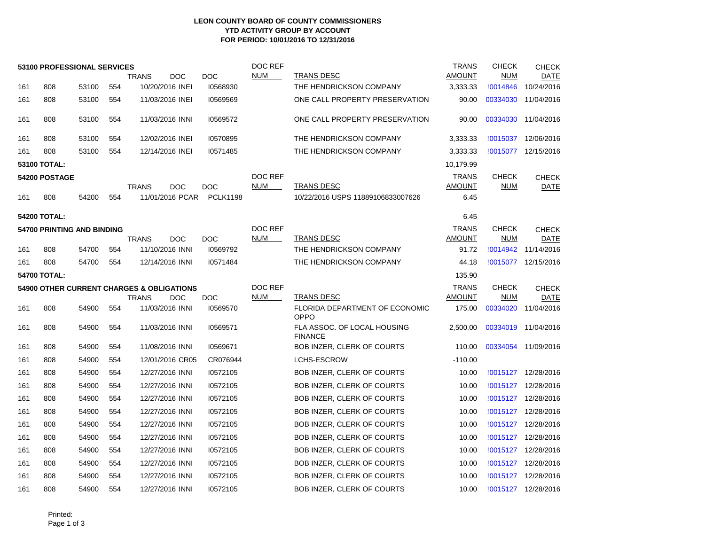## **LEON COUNTY BOARD OF COUNTY COMMISSIONERS YTD ACTIVITY GROUP BY ACCOUNT FOR PERIOD: 10/01/2016 TO 12/31/2016**

|                                                      | 53100 PROFESSIONAL SERVICES |       |     |                            |                 | DOC REF    |                                               | <b>TRANS</b>  | <b>CHECK</b> | <b>CHECK</b>        |
|------------------------------------------------------|-----------------------------|-------|-----|----------------------------|-----------------|------------|-----------------------------------------------|---------------|--------------|---------------------|
|                                                      |                             |       |     | <b>TRANS</b><br><b>DOC</b> | <b>DOC</b>      | <b>NUM</b> | TRANS DESC                                    | <b>AMOUNT</b> | <b>NUM</b>   | DATE                |
| 161                                                  | 808                         | 53100 | 554 | 10/20/2016 INEI            | 10568930        |            | THE HENDRICKSON COMPANY                       | 3,333.33      | !0014846     | 10/24/2016          |
| 161                                                  | 808                         | 53100 | 554 | 11/03/2016 INEI            | 10569569        |            | ONE CALL PROPERTY PRESERVATION                | 90.00         | 00334030     | 11/04/2016          |
| 161                                                  | 808                         | 53100 | 554 | 11/03/2016 INNI            | 10569572        |            | ONE CALL PROPERTY PRESERVATION                | 90.00         | 00334030     | 11/04/2016          |
| 161                                                  | 808                         | 53100 | 554 | 12/02/2016 INEI            | 10570895        |            | THE HENDRICKSON COMPANY                       | 3,333.33      | !0015037     | 12/06/2016          |
| 161                                                  | 808                         | 53100 | 554 | 12/14/2016 INEI            | 10571485        |            | THE HENDRICKSON COMPANY                       | 3,333.33      | !0015077     | 12/15/2016          |
| 53100 TOTAL:                                         |                             |       |     |                            |                 |            |                                               | 10,179.99     |              |                     |
| 54200 POSTAGE                                        |                             |       |     |                            |                 | DOC REF    |                                               | <b>TRANS</b>  | <b>CHECK</b> | <b>CHECK</b>        |
|                                                      |                             |       |     | <b>DOC</b><br><b>TRANS</b> | <b>DOC</b>      | <b>NUM</b> | TRANS DESC                                    | <b>AMOUNT</b> | <b>NUM</b>   | <b>DATE</b>         |
| 161                                                  | 808                         | 54200 | 554 | 11/01/2016 PCAR            | <b>PCLK1198</b> |            | 10/22/2016 USPS 11889106833007626             | 6.45          |              |                     |
| <b>54200 TOTAL:</b>                                  |                             |       |     |                            |                 |            |                                               | 6.45          |              |                     |
| 54700 PRINTING AND BINDING                           |                             |       |     |                            |                 |            |                                               | <b>TRANS</b>  | <b>CHECK</b> | <b>CHECK</b>        |
|                                                      |                             |       |     | <b>TRANS</b><br><b>DOC</b> | <b>DOC</b>      | <b>NUM</b> | TRANS DESC                                    | <b>AMOUNT</b> | <b>NUM</b>   | DATE                |
| 161                                                  | 808                         | 54700 | 554 | 11/10/2016 INNI            | 10569792        |            | THE HENDRICKSON COMPANY                       | 91.72         | !0014942     | 11/14/2016          |
| 161                                                  | 808                         | 54700 | 554 | 12/14/2016 INNI            | 10571484        |            | THE HENDRICKSON COMPANY                       | 44.18         |              | !0015077 12/15/2016 |
|                                                      | 54700 TOTAL:                |       |     |                            |                 |            |                                               | 135.90        |              |                     |
| <b>54900 OTHER CURRENT CHARGES &amp; OBLIGATIONS</b> |                             |       |     |                            |                 | DOC REF    |                                               |               |              |                     |
|                                                      |                             |       |     |                            |                 |            |                                               | <b>TRANS</b>  | <b>CHECK</b> | <b>CHECK</b>        |
|                                                      |                             |       |     | <b>TRANS</b><br><b>DOC</b> | DOC             | <b>NUM</b> | TRANS DESC                                    | <b>AMOUNT</b> | <b>NUM</b>   | DATE                |
| 161                                                  | 808                         | 54900 | 554 | 11/03/2016 INNI            | 10569570        |            | FLORIDA DEPARTMENT OF ECONOMIC<br>OPPO        | 175.00        | 00334020     | 11/04/2016          |
| 161                                                  | 808                         | 54900 | 554 | 11/03/2016 INNI            | 10569571        |            | FLA ASSOC. OF LOCAL HOUSING<br><b>FINANCE</b> | 2,500.00      | 00334019     | 11/04/2016          |
| 161                                                  | 808                         | 54900 | 554 | 11/08/2016 INNI            | 10569671        |            | BOB INZER, CLERK OF COURTS                    | 110.00        | 00334054     | 11/09/2016          |
| 161                                                  | 808                         | 54900 | 554 | 12/01/2016 CR05            | CR076944        |            | <b>LCHS-ESCROW</b>                            | $-110.00$     |              |                     |
| 161                                                  | 808                         | 54900 | 554 | 12/27/2016 INNI            | 10572105        |            | <b>BOB INZER, CLERK OF COURTS</b>             | 10.00         | !0015127     | 12/28/2016          |
| 161                                                  | 808                         | 54900 | 554 | 12/27/2016 INNI            | 10572105        |            | <b>BOB INZER, CLERK OF COURTS</b>             | 10.00         | !0015127     | 12/28/2016          |
| 161                                                  | 808                         | 54900 | 554 | 12/27/2016 INNI            | 10572105        |            | <b>BOB INZER, CLERK OF COURTS</b>             | 10.00         | !0015127     | 12/28/2016          |
| 161                                                  | 808                         | 54900 | 554 | 12/27/2016 INNI            | 10572105        |            | BOB INZER, CLERK OF COURTS                    | 10.00         | !0015127     | 12/28/2016          |
| 161                                                  | 808                         | 54900 | 554 | 12/27/2016 INNI            | 10572105        |            | BOB INZER, CLERK OF COURTS                    | 10.00         | !0015127     | 12/28/2016          |
| 161                                                  | 808                         | 54900 | 554 | 12/27/2016 INNI            | 10572105        |            | BOB INZER, CLERK OF COURTS                    | 10.00         | !0015127     | 12/28/2016          |
| 161                                                  | 808                         | 54900 | 554 | 12/27/2016 INNI            | 10572105        |            | <b>BOB INZER, CLERK OF COURTS</b>             | 10.00         | !0015127     | 12/28/2016          |
| 161                                                  | 808                         | 54900 | 554 | 12/27/2016 INNI            | 10572105        |            | BOB INZER, CLERK OF COURTS                    | 10.00         | !0015127     | 12/28/2016          |
| 161                                                  | 808                         | 54900 | 554 | 12/27/2016 INNI            | 10572105        |            | <b>BOB INZER, CLERK OF COURTS</b>             | 10.00         | !0015127     | 12/28/2016          |

Printed: Page 1 of 3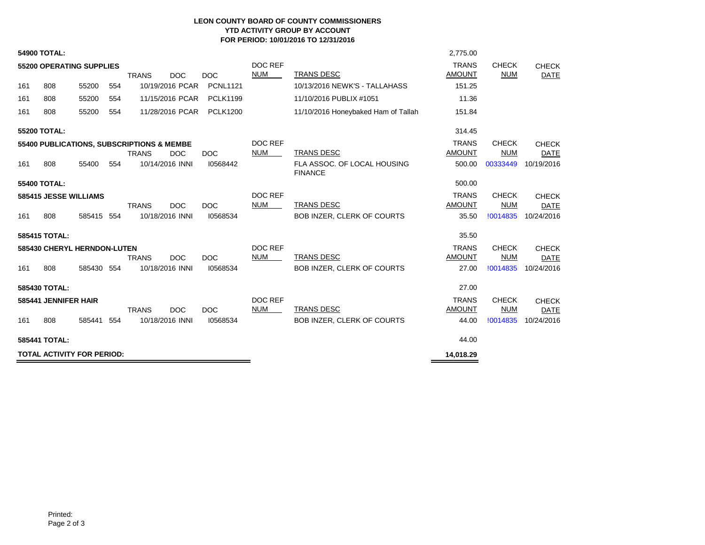## **LEON COUNTY BOARD OF COUNTY COMMISSIONERS YTD ACTIVITY GROUP BY ACCOUNT FOR PERIOD: 10/01/2016 TO 12/31/2016**

| <b>TOTAL ACTIVITY FOR PERIOD:</b>                                           |                             |            |     |              |                 |                 |                              |                                               | 14,018.29                     |                            |                             |
|-----------------------------------------------------------------------------|-----------------------------|------------|-----|--------------|-----------------|-----------------|------------------------------|-----------------------------------------------|-------------------------------|----------------------------|-----------------------------|
| 585441 TOTAL:                                                               |                             |            |     |              |                 |                 |                              |                                               | 44.00                         |                            |                             |
| 161                                                                         | 808                         | 585441     | 554 |              | 10/18/2016 INNI | 10568534        |                              | BOB INZER, CLERK OF COURTS                    | 44.00                         | !0014835                   | 10/24/2016                  |
|                                                                             | 585441 JENNIFER HAIR        |            |     | <b>TRANS</b> | <b>DOC</b>      | <b>DOC</b>      | <b>DOC REF</b><br><b>NUM</b> | TRANS DESC                                    | <b>TRANS</b><br><b>AMOUNT</b> | <b>CHECK</b><br><b>NUM</b> | <b>CHECK</b><br><b>DATE</b> |
| 585430 TOTAL:                                                               |                             |            |     |              |                 |                 |                              |                                               | 27.00                         |                            |                             |
| 161                                                                         | 808                         | 585430 554 |     |              | 10/18/2016 INNI | 10568534        |                              | BOB INZER, CLERK OF COURTS                    | 27.00                         | !0014835                   | 10/24/2016                  |
|                                                                             | 585430 CHERYL HERNDON-LUTEN |            |     | <b>TRANS</b> | <b>DOC</b>      | <b>DOC</b>      | DOC REF<br><b>NUM</b>        | <b>TRANS DESC</b>                             | <b>TRANS</b><br><b>AMOUNT</b> | <b>CHECK</b><br><b>NUM</b> | <b>CHECK</b><br><b>DATE</b> |
|                                                                             | 585415 TOTAL:               |            |     |              |                 |                 |                              |                                               | 35.50                         |                            |                             |
| 161                                                                         | 808                         | 585415 554 |     |              | 10/18/2016 INNI | 10568534        |                              | BOB INZER, CLERK OF COURTS                    | 35.50                         | !0014835                   | 10/24/2016                  |
|                                                                             |                             |            |     | <b>TRANS</b> | <b>DOC</b>      | <b>DOC</b>      | <b>NUM</b>                   | <b>TRANS DESC</b>                             | <b>AMOUNT</b>                 | <b>NUM</b>                 | <b>CHECK</b><br><b>DATE</b> |
| 55400 TOTAL:<br>585415 JESSE WILLIAMS                                       |                             |            |     |              |                 |                 | DOC REF                      |                                               | 500.00<br><b>TRANS</b>        | <b>CHECK</b>               |                             |
| 161                                                                         | 808                         | 55400      | 554 |              | 10/14/2016 INNI | 10568442        |                              | FLA ASSOC, OF LOCAL HOUSING<br><b>FINANCE</b> | 500.00                        | 00333449                   | 10/19/2016                  |
|                                                                             |                             |            |     | <b>TRANS</b> | <b>DOC</b>      | <b>DOC</b>      | <b>NUM</b>                   | <b>TRANS DESC</b>                             | <b>AMOUNT</b>                 | <b>NUM</b>                 | <b>DATE</b>                 |
| 55200 TOTAL:<br>55400 PUBLICATIONS, SUBSCRIPTIONS & MEMBE                   |                             |            |     |              |                 |                 | DOC REF                      |                                               | <b>TRANS</b>                  | <b>CHECK</b>               | <b>CHECK</b>                |
|                                                                             |                             |            |     |              |                 |                 |                              |                                               | 314.45                        |                            |                             |
| 161                                                                         | 808                         | 55200      | 554 |              | 11/28/2016 PCAR | <b>PCLK1200</b> |                              | 11/10/2016 Honeybaked Ham of Tallah           | 151.84                        |                            |                             |
| 161                                                                         | 808                         | 55200      | 554 |              | 11/15/2016 PCAR | <b>PCLK1199</b> |                              | 11/10/2016 PUBLIX #1051                       | 11.36                         |                            |                             |
| 161                                                                         | 808                         | 55200      | 554 |              | 10/19/2016 PCAR | <b>PCNL1121</b> |                              | 10/13/2016 NEWK'S - TALLAHASS                 | 151.25                        |                            |                             |
| <b>55200 OPERATING SUPPLIES</b><br><b>DOC</b><br><b>DOC</b><br><b>TRANS</b> |                             |            |     |              |                 |                 | DOC REF<br><b>NUM</b>        | TRANS DESC                                    | <b>TRANS</b><br><b>AMOUNT</b> | <b>CHECK</b><br><b>NUM</b> | <b>CHECK</b><br><b>DATE</b> |
|                                                                             | <b>54900 TOTAL:</b>         |            |     |              |                 |                 |                              |                                               | 2,775.00                      |                            |                             |